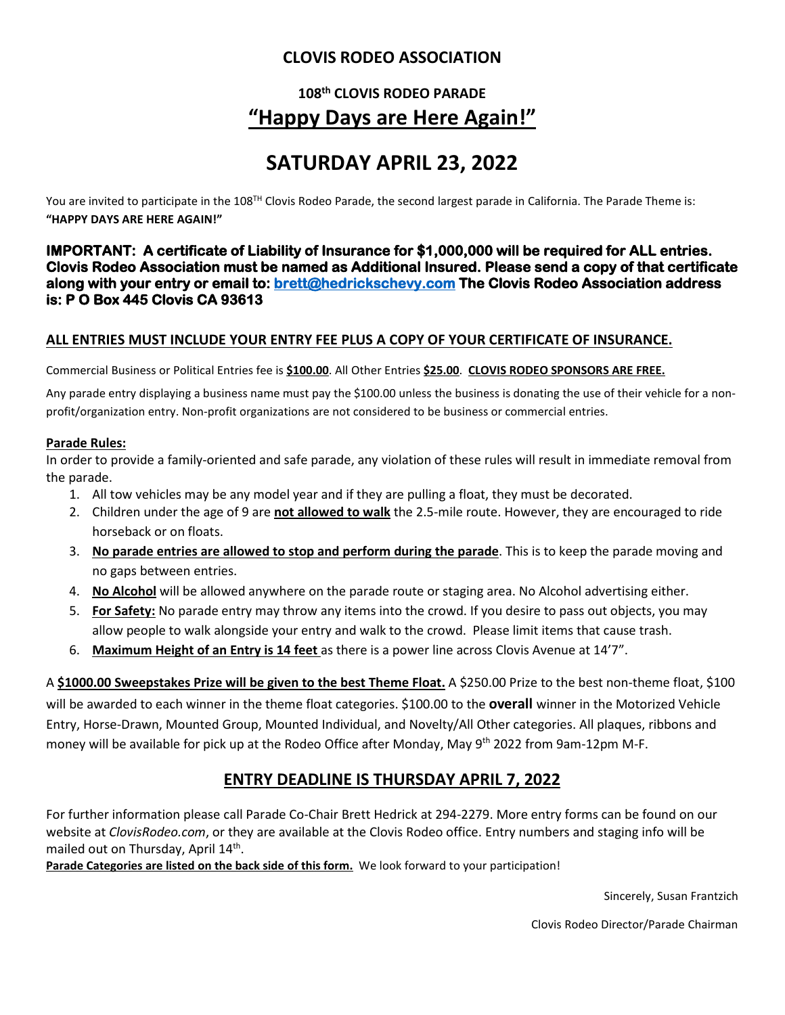### **CLOVIS RODEO ASSOCIATION**

### **108th CLOVIS RODEO PARADE "Happy Days are Here Again!"**

### **SATURDAY APRIL 23, 2022**

You are invited to participate in the 108<sup>TH</sup> Clovis Rodeo Parade, the second largest parade in California. The Parade Theme is: **"HAPPY DAYS ARE HERE AGAIN!"**

**IMPORTANT: A certificate of Liability of Insurance for \$1,000,000 will be required for ALL entries. Clovis Rodeo Association must be named as Additional Insured. Please send a copy of that certificate along with your entry or email to[: brett@hedrickschevy.com](mailto:brett@hedrickschevy.com) The Clovis Rodeo Association address is: P O Box 445 Clovis CA 93613** 

#### **ALL ENTRIES MUST INCLUDE YOUR ENTRY FEE PLUS A COPY OF YOUR CERTIFICATE OF INSURANCE.**

Commercial Business or Political Entries fee is **\$100.00**. All Other Entries **\$25.00**. **CLOVIS RODEO SPONSORS ARE FREE.**

Any parade entry displaying a business name must pay the \$100.00 unless the business is donating the use of their vehicle for a nonprofit/organization entry. Non-profit organizations are not considered to be business or commercial entries.

#### **Parade Rules:**

In order to provide a family-oriented and safe parade, any violation of these rules will result in immediate removal from the parade.

- 1. All tow vehicles may be any model year and if they are pulling a float, they must be decorated.
- 2. Children under the age of 9 are **not allowed to walk** the 2.5-mile route. However, they are encouraged to ride horseback or on floats.
- 3. **No parade entries are allowed to stop and perform during the parade**. This is to keep the parade moving and no gaps between entries.
- 4. **No Alcohol** will be allowed anywhere on the parade route or staging area. No Alcohol advertising either.
- 5. **For Safety:** No parade entry may throw any items into the crowd. If you desire to pass out objects, you may allow people to walk alongside your entry and walk to the crowd. Please limit items that cause trash.
- 6. **Maximum Height of an Entry is 14 feet** as there is a power line across Clovis Avenue at 14'7".

A **\$1000.00 Sweepstakes Prize will be given to the best Theme Float.** A \$250.00 Prize to the best non-theme float, \$100 will be awarded to each winner in the theme float categories. \$100.00 to the **overall** winner in the Motorized Vehicle Entry, Horse-Drawn, Mounted Group, Mounted Individual, and Novelty/All Other categories. All plaques, ribbons and money will be available for pick up at the Rodeo Office after Monday, May 9<sup>th</sup> 2022 from 9am-12pm M-F.

### **ENTRY DEADLINE IS THURSDAY APRIL 7, 2022**

For further information please call Parade Co-Chair Brett Hedrick at 294-2279. More entry forms can be found on our website at *ClovisRodeo.com*, or they are available at the Clovis Rodeo office. Entry numbers and staging info will be mailed out on Thursday, April 14<sup>th</sup>.

**Parade Categories are listed on the back side of this form.** We look forward to your participation!

Sincerely, Susan Frantzich

Clovis Rodeo Director/Parade Chairman